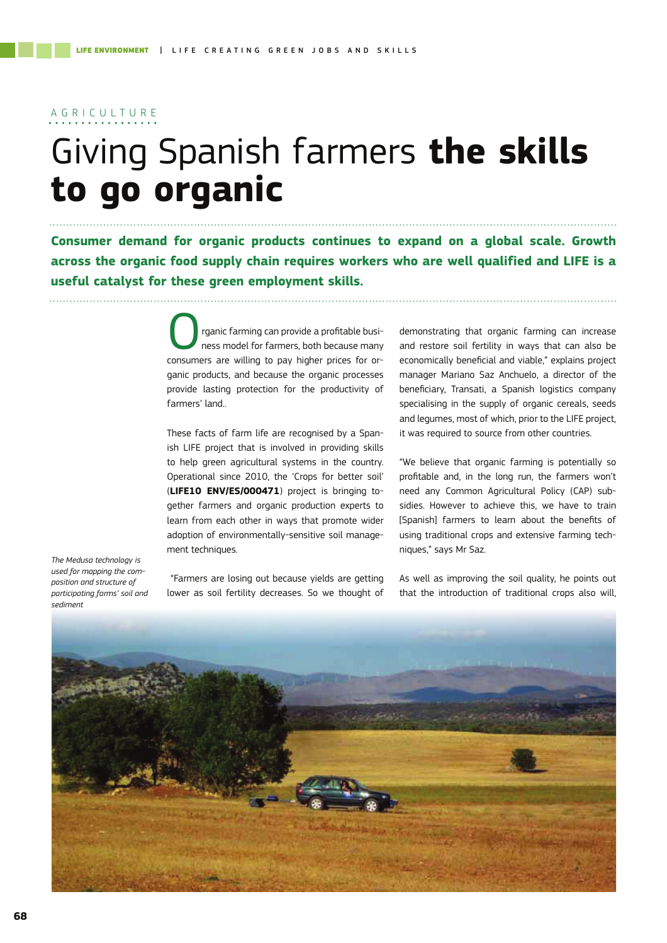### A G R I C U L T U R E

# Giving Spanish farmers **the skills to go organic**

**Consumer demand for organic products continues to expand on a global scale. Growth across the organic food supply chain requires workers who are well qualified and LIFE is a useful catalyst for these green employment skills.**

> rganic farming can provide a profitable business model for farmers, both because many consumers are willing to pay higher prices for organic products, and because the organic processes provide lasting protection for the productivity of farmers' land..

> These facts of farm life are recognised by a Spanish LIFE project that is involved in providing skills to help green agricultural systems in the country. Operational since 2010, the 'Crops for better soil' (**LIFE10 ENV/ES/000471**) project is bringing together farmers and organic production experts to learn from each other in ways that promote wider adoption of environmentally-sensitive soil management techniques.

*The Medusa technology is used for mapping the composition and structure of participating farms' soil and sediment*

 "Farmers are losing out because yields are getting lower as soil fertility decreases. So we thought of demonstrating that organic farming can increase and restore soil fertility in ways that can also be economically beneficial and viable," explains project manager Mariano Saz Anchuelo, a director of the beneficiary, Transati, a Spanish logistics company specialising in the supply of organic cereals, seeds and legumes, most of which, prior to the LIFE project, it was required to source from other countries.

"We believe that organic farming is potentially so profitable and, in the long run, the farmers won't need any Common Agricultural Policy (CAP) subsidies. However to achieve this, we have to train [Spanish] farmers to learn about the benefits of using traditional crops and extensive farming techniques," says Mr Saz.

As well as improving the soil quality, he points out that the introduction of traditional crops also will,

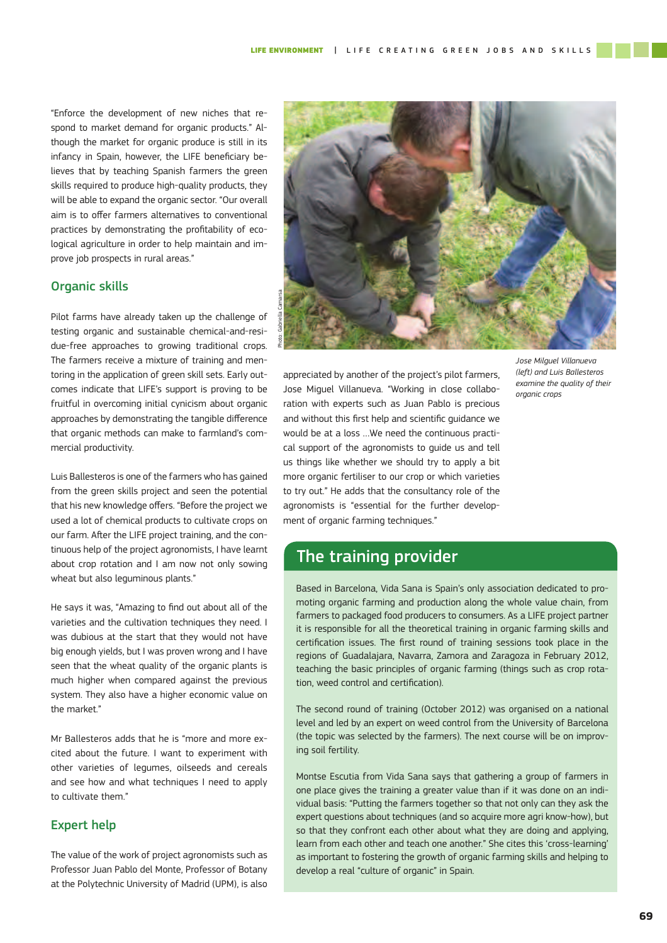"Enforce the development of new niches that respond to market demand for organic products." Although the market for organic produce is still in its infancy in Spain, however, the LIFE beneficiary believes that by teaching Spanish farmers the green skills required to produce high-quality products, they will be able to expand the organic sector. "Our overall aim is to offer farmers alternatives to conventional practices by demonstrating the profitability of ecological agriculture in order to help maintain and improve job prospects in rural areas."

#### Organic skills

Pilot farms have already taken up the challenge of testing organic and sustainable chemical-and-residue-free approaches to growing traditional crops. The farmers receive a mixture of training and mentoring in the application of green skill sets. Early outcomes indicate that LIFE's support is proving to be fruitful in overcoming initial cynicism about organic approaches by demonstrating the tangible difference that organic methods can make to farmland's commercial productivity.

Luis Ballesteros is one of the farmers who has gained from the green skills project and seen the potential that his new knowledge offers. "Before the project we used a lot of chemical products to cultivate crops on our farm. After the LIFE project training, and the continuous help of the project agronomists, I have learnt about crop rotation and I am now not only sowing wheat but also leguminous plants."

He says it was, "Amazing to find out about all of the varieties and the cultivation techniques they need. I was dubious at the start that they would not have big enough yields, but I was proven wrong and I have seen that the wheat quality of the organic plants is much higher when compared against the previous system. They also have a higher economic value on the market."

Mr Ballesteros adds that he is "more and more excited about the future. I want to experiment with other varieties of legumes, oilseeds and cereals and see how and what techniques I need to apply to cultivate them."

#### Expert help

The value of the work of project agronomists such as Professor Juan Pablo del Monte, Professor of Botany at the Polytechnic University of Madrid (UPM), is also



*Jose Milguel Villanueva (left) and Luis Ballesteros examine the quality of their organic crops*

appreciated by another of the project's pilot farmers, Jose Miguel Villanueva. "Working in close collaboration with experts such as Juan Pablo is precious and without this first help and scientific quidance we would be at a loss ...We need the continuous practical support of the agronomists to guide us and tell us things like whether we should try to apply a bit more organic fertiliser to our crop or which varieties to try out." He adds that the consultancy role of the agronomists is "essential for the further development of organic farming techniques."

## The training provider

Based in Barcelona, Vida Sana is Spain's only association dedicated to promoting organic farming and production along the whole value chain, from farmers to packaged food producers to consumers. As a LIFE project partner it is responsible for all the theoretical training in organic farming skills and certification issues. The first round of training sessions took place in the regions of Guadalajara, Navarra, Zamora and Zaragoza in February 2012, teaching the basic principles of organic farming (things such as crop rotation, weed control and certification).

The second round of training (October 2012) was organised on a national level and led by an expert on weed control from the University of Barcelona (the topic was selected by the farmers). The next course will be on improving soil fertility.

Montse Escutia from Vida Sana says that gathering a group of farmers in one place gives the training a greater value than if it was done on an individual basis: "Putting the farmers together so that not only can they ask the expert questions about techniques (and so acquire more agri know-how), but so that they confront each other about what they are doing and applying, learn from each other and teach one another." She cites this 'cross-learning' as important to fostering the growth of organic farming skills and helping to develop a real "culture of organic" in Spain.